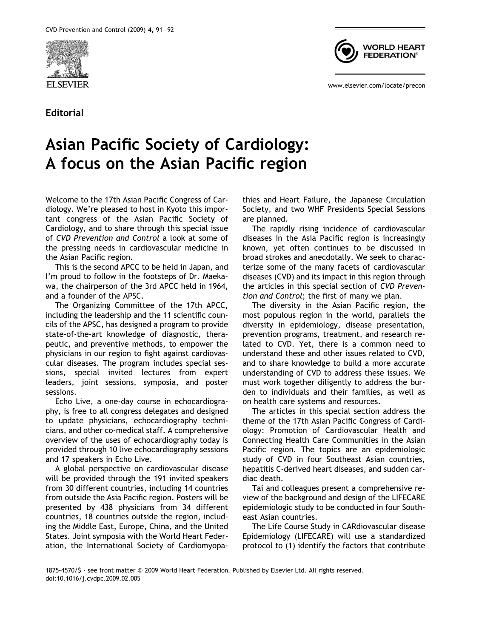

Editorial



www.elsevier.com/locate/precon

## Asian Pacific Society of Cardiology: A focus on the Asian Pacific region

Welcome to the 17th Asian Pacific Congress of Cardiology. We're pleased to host in Kyoto this important congress of the Asian Pacific Society of Cardiology, and to share through this special issue of CVD Prevention and Control a look at some of the pressing needs in cardiovascular medicine in the Asian Pacific region.

This is the second APCC to be held in Japan, and I'm proud to follow in the footsteps of Dr. Maekawa, the chairperson of the 3rd APCC held in 1964, and a founder of the APSC.

The Organizing Committee of the 17th APCC, including the leadership and the 11 scientific councils of the APSC, has designed a program to provide state-of-the-art knowledge of diagnostic, therapeutic, and preventive methods, to empower the physicians in our region to fight against cardiovascular diseases. The program includes special sessions, special invited lectures from expert leaders, joint sessions, symposia, and poster sessions.

Echo Live, a one-day course in echocardiography, is free to all congress delegates and designed to update physicians, echocardiography technicians, and other co-medical staff. A comprehensive overview of the uses of echocardiography today is provided through 10 live echocardiography sessions and 17 speakers in Echo Live.

A global perspective on cardiovascular disease will be provided through the 191 invited speakers from 30 different countries, including 14 countries from outside the Asia Pacific region. Posters will be presented by 438 physicians from 34 different countries, 18 countries outside the region, including the Middle East, Europe, China, and the United States. Joint symposia with the World Heart Federation, the International Society of Cardiomyopathies and Heart Failure, the Japanese Circulation Society, and two WHF Presidents Special Sessions are planned.

The rapidly rising incidence of cardiovascular diseases in the Asia Pacific region is increasingly known, yet often continues to be discussed in broad strokes and anecdotally. We seek to characterize some of the many facets of cardiovascular diseases (CVD) and its impact in this region through the articles in this special section of CVD Prevention and Control; the first of many we plan.

The diversity in the Asian Pacific region, the most populous region in the world, parallels the diversity in epidemiology, disease presentation, prevention programs, treatment, and research related to CVD. Yet, there is a common need to understand these and other issues related to CVD, and to share knowledge to build a more accurate understanding of CVD to address these issues. We must work together diligently to address the burden to individuals and their families, as well as on health care systems and resources.

The articles in this special section address the theme of the 17th Asian Pacific Congress of Cardiology: Promotion of Cardiovascular Health and Connecting Health Care Communities in the Asian Pacific region. The topics are an epidemiologic study of CVD in four Southeast Asian countries, hepatitis C-derived heart diseases, and sudden cardiac death.

Tai and colleagues present a comprehensive review of the background and design of the LIFECARE epidemiologic study to be conducted in four Southeast Asian countries.

The Life Course Study in CARdiovascular disease Epidemiology (LIFECARE) will use a standardized protocol to (1) identify the factors that contribute